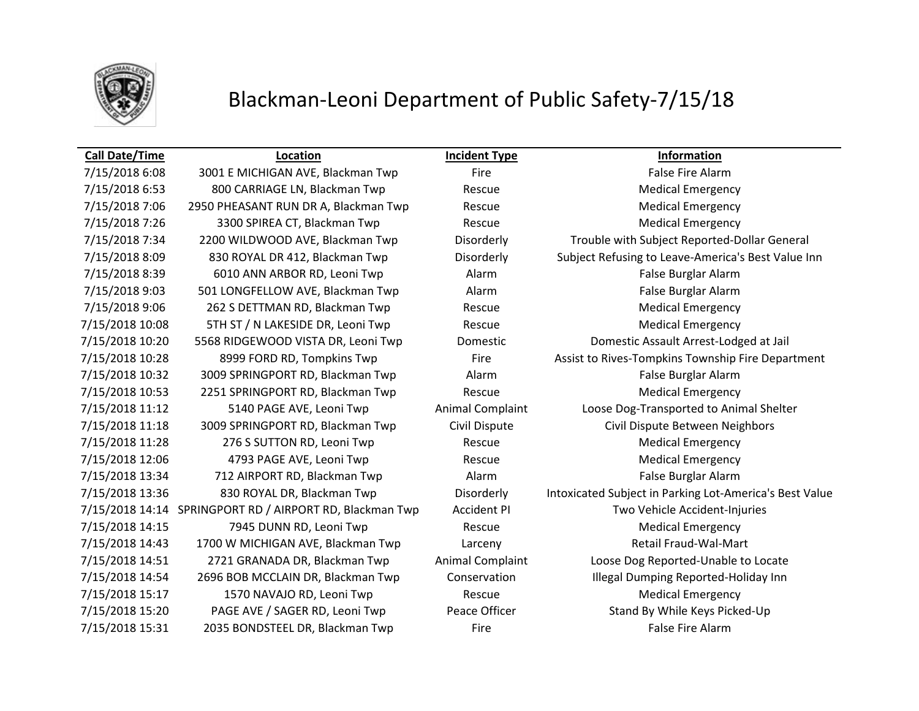

# Blackman-Leoni Department of Public Safety-7/15/18

7/15/2018 6:08 3001 E MICHIGAN AVE, Blackman Twp Fire Fire Fire False Fire Alarm 7/15/2018 6:53 800 CARRIAGE LN, Blackman Twp Rescue Rescue Medical Emergency 7/15/2018 7:06 2950 PHEASANT RUN DR A, Blackman Twp Rescue Rescue Medical Emergency 7/15/2018 7:26 3300 SPIREA CT, Blackman Twp Rescue Medical Emergency 7/15/2018 8:39 6010 ANN ARBOR RD, Leoni Twp Alarm Alarm False Burglar Alarm 7/15/2018 9:03 501 LONGFELLOW AVE, Blackman Twp Alarm Alarm False Burglar Alarm 7/15/2018 9:06 262 S DETTMAN RD, Blackman Twp Rescue Medical Emergency 7/15/2018 10:08 5TH ST / N LAKESIDE DR, Leoni Twp Rescue Rescue Medical Emergency 7/15/2018 10:32 3009 SPRINGPORT RD, Blackman Twp Alarm Alarm False Burglar Alarm 7/15/2018 10:53 2251 SPRINGPORT RD, Blackman Twp Rescue Rescue Medical Emergency 7/15/2018 11:28 276 S SUTTON RD, Leoni Twp Rescue Rescue Medical Emergency 7/15/2018 12:06 4793 PAGE AVE, Leoni Twp Rescue Medical Emergency 7/15/2018 13:34 712 AIRPORT RD, Blackman Twp Alarm Alarm False Burglar Alarm 7/15/2018 14:15 7945 DUNN RD, Leoni Twp Rescue Medical Emergency 7/15/2018 14:43 1700 W MICHIGAN AVE, Blackman Twp Larceny Larcent Communist Retail Fraud-Wal-Mart 7/15/2018 15:17 1570 NAVAJO RD, Leoni Twp Rescue Rescue Medical Emergency 7/15/2018 15:31 2035 BONDSTEEL DR, Blackman Twp Fire False Fire Alarm

**Call Date/Time Location Incident Type Information** 7/15/2018 7:34 2200 WILDWOOD AVE, Blackman Twp Disorderly Trouble with Subject Reported-Dollar General 7/15/2018 8:09 830 ROYAL DR 412, Blackman Twp Disorderly Subject Refusing to Leave-America's Best Value Inn 7/15/2018 10:20 5568 RIDGEWOOD VISTA DR, Leoni Twp Domestic Domestic Assault Arrest-Lodged at Jail 7/15/2018 10:28 8999 FORD RD, Tompkins Twp Fire Fire Assist to Rives-Tompkins Township Fire Department 7/15/2018 11:12 5140 PAGE AVE, Leoni Twp Animal Complaint Loose Dog-Transported to Animal Shelter 7/15/2018 11:18 3009 SPRINGPORT RD, Blackman Twp Civil Dispute Civil Dispute Between Neighbors 7/15/2018 13:36 830 ROYAL DR, Blackman Twp Disorderly Intoxicated Subject in Parking Lot-America's Best Value 7/15/2018 14:14 SPRINGPORT RD / AIRPORT RD, Blackman Twp Accident PI Two Vehicle Accident-Injuries 7/15/2018 14:51 2721 GRANADA DR, Blackman Twp Animal Complaint Loose Dog Reported-Unable to Locate 7/15/2018 14:54 2696 BOB MCCLAIN DR, Blackman Twp Conservation Illegal Dumping Reported-Holiday Inn 7/15/2018 15:20 PAGE AVE / SAGER RD, Leoni Twp Peace Officer Stand By While Keys Picked-Up